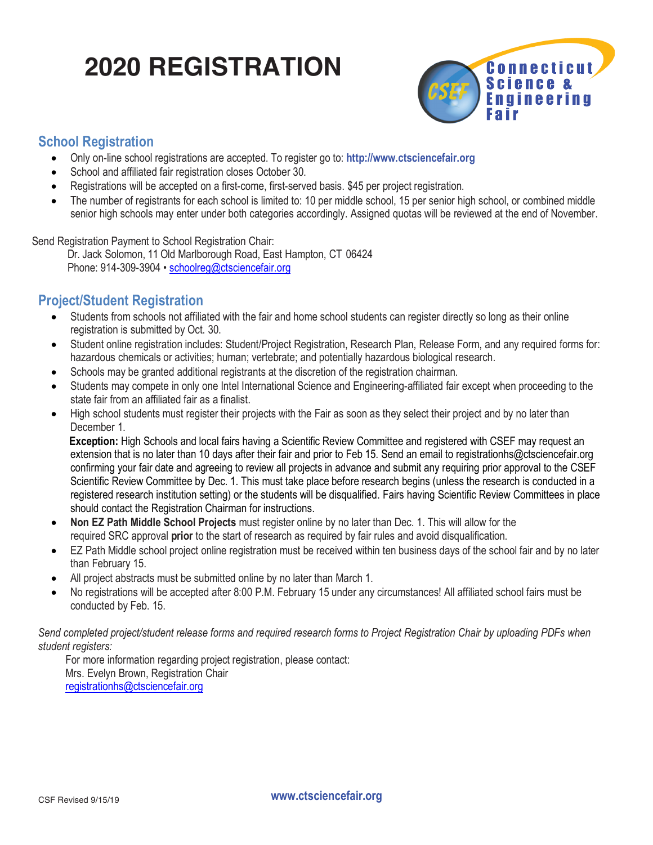# **2020 REGISTRATION**



### **School Registration**

- Only on-line school registrations are accepted. To register go to: **http://www.ctsciencefair.org**
- School and affiliated fair registration closes October 30.
- Registrations will be accepted on a first-come, first-served basis. \$45 per project registration.
- The number of registrants for each school is limited to: 10 per middle school, 15 per senior high school, or combined middle senior high schools may enter under both categories accordingly. Assigned quotas will be reviewed at the end of November.

Send Registration Payment to School Registration Chair:

 Dr. Jack Solomon, 11 Old Marlborough Road, East Hampton, CT 06424 Phone: 914-309-3904 • schoolreg@ctsciencefair.org

### **Project/Student Registration**

- Students from schools not affiliated with the fair and home school students can register directly so long as their online registration is submitted by Oct. 30.
- Student online registration includes: Student/Project Registration, Research Plan, Release Form, and any required forms for: hazardous chemicals or activities; human; vertebrate; and potentially hazardous biological research.
- Schools may be granted additional registrants at the discretion of the registration chairman.
- Students may compete in only one Intel International Science and Engineering-affiliated fair except when proceeding to the state fair from an affiliated fair as a finalist.
- High school students must register their projects with the Fair as soon as they select their project and by no later than December 1.

 **Exception:** High Schools and local fairs having a Scientific Review Committee and registered with CSEF may request an extension that is no later than 10 days after their fair and prior to Feb 15. Send an email to registrationhs@ctsciencefair.org confirming your fair date and agreeing to review all projects in advance and submit any requiring prior approval to the CSEF Scientific Review Committee by Dec. 1. This must take place before research begins (unless the research is conducted in a registered research institution setting) or the students will be disqualified. Fairs having Scientific Review Committees in place should contact the Registration Chairman for instructions.

- **Non EZ Path Middle School Projects** must register online by no later than Dec. 1. This will allow for the required SRC approval **prior** to the start of research as required by fair rules and avoid disqualification.
- EZ Path Middle school project online registration must be received within ten business days of the school fair and by no later than February 15.
- All project abstracts must be submitted online by no later than March 1.
- No registrations will be accepted after 8:00 P.M. February 15 under any circumstances! All affiliated school fairs must be conducted by Feb. 15.

*Send completed project/student release forms and required research forms to Project Registration Chair by uploading PDFs when student registers:* 

For more information regarding project registration, please contact: Mrs. Evelyn Brown, Registration Chair registrationhs@ctsciencefair.org